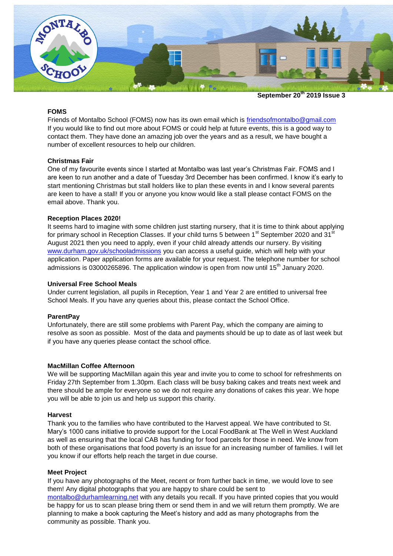

**September 20th 2019 Issue 3**

# **FOMS**

Friends of Montalbo School (FOMS) now has its own email which is [friendsofmontalbo@gmail.com](mailto:friendsofmontalbo@gmail.com) If you would like to find out more about FOMS or could help at future events, this is a good way to contact them. They have done an amazing job over the years and as a result, we have bought a number of excellent resources to help our children.

#### **Christmas Fair**

One of my favourite events since I started at Montalbo was last year's Christmas Fair. FOMS and I are keen to run another and a date of Tuesday 3rd December has been confirmed. I know it's early to start mentioning Christmas but stall holders like to plan these events in and I know several parents are keen to have a stall! If you or anyone you know would like a stall please contact FOMS on the email above. Thank you.

#### **Reception Places 2020!**

It seems hard to imagine with some children just starting nursery, that it is time to think about applying for primary school in Reception Classes. If your child turns 5 between  $1<sup>st</sup>$  September 2020 and 31 $<sup>st</sup>$ </sup> August 2021 then you need to apply, even if your child already attends our nursery. By visiting [www.durham.gov.uk/schooladmissions](http://www.durham.gov.uk/schooladmissions) you can access a useful guide, which will help with your application. Paper application forms are available for your request. The telephone number for school admissions is 03000265896. The application window is open from now until 15<sup>th</sup> January 2020.

#### **Universal Free School Meals**

Under current legislation, all pupils in Reception, Year 1 and Year 2 are entitled to universal free School Meals. If you have any queries about this, please contact the School Office.

#### **ParentPay**

Unfortunately, there are still some problems with Parent Pay, which the company are aiming to resolve as soon as possible. Most of the data and payments should be up to date as of last week but if you have any queries please contact the school office.

#### **MacMillan Coffee Afternoon**

We will be supporting MacMillan again this year and invite you to come to school for refreshments on Friday 27th September from 1.30pm. Each class will be busy baking cakes and treats next week and there should be ample for everyone so we do not require any donations of cakes this year. We hope you will be able to join us and help us support this charity.

#### **Harvest**

Thank you to the families who have contributed to the Harvest appeal. We have contributed to St. Mary's 1000 cans initiative to provide support for the Local FoodBank at The Well in West Auckland as well as ensuring that the local CAB has funding for food parcels for those in need. We know from both of these organisations that food poverty is an issue for an increasing number of families. I will let you know if our efforts help reach the target in due course.

#### **Meet Project**

If you have any photographs of the Meet, recent or from further back in time, we would love to see them! Any digital photographs that you are happy to share could be sent to

[montalbo@durhamlearning.net](mailto:montalbo@durhamlearning.net) with any details you recall. If you have printed copies that you would be happy for us to scan please bring them or send them in and we will return them promptly. We are planning to make a book capturing the Meet's history and add as many photographs from the community as possible. Thank you.